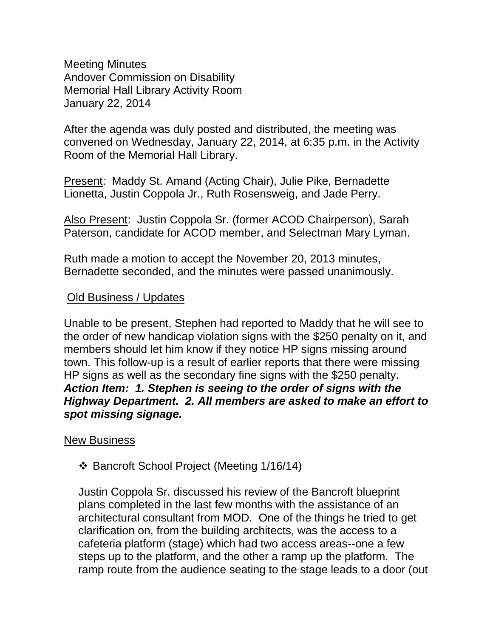Meeting Minutes Andover Commission on Disability Memorial Hall Library Activity Room January 22, 2014

After the agenda was duly posted and distributed, the meeting was convened on Wednesday, January 22, 2014, at 6:35 p.m. in the Activity Room of the Memorial Hall Library.

Present: Maddy St. Amand (Acting Chair), Julie Pike, Bernadette Lionetta, Justin Coppola Jr., Ruth Rosensweig, and Jade Perry.

Also Present: Justin Coppola Sr. (former ACOD Chairperson), Sarah Paterson, candidate for ACOD member, and Selectman Mary Lyman.

Ruth made a motion to accept the November 20, 2013 minutes, Bernadette seconded, and the minutes were passed unanimously.

## Old Business / Updates

Unable to be present, Stephen had reported to Maddy that he will see to the order of new handicap violation signs with the \$250 penalty on it, and members should let him know if they notice HP signs missing around town. This follow-up is a result of earlier reports that there were missing HP signs as well as the secondary fine signs with the \$250 penalty. *Action Item: 1. Stephen is seeing to the order of signs with the Highway Department. 2. All members are asked to make an effort to spot missing signage.*

## New Business

Bancroft School Project (Meeting 1/16/14)

Justin Coppola Sr. discussed his review of the Bancroft blueprint plans completed in the last few months with the assistance of an architectural consultant from MOD. One of the things he tried to get clarification on, from the building architects, was the access to a cafeteria platform (stage) which had two access areas--one a few steps up to the platform, and the other a ramp up the platform. The ramp route from the audience seating to the stage leads to a door (out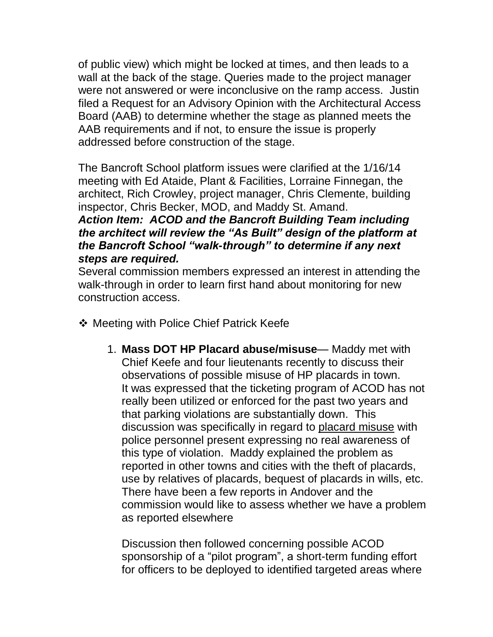of public view) which might be locked at times, and then leads to a wall at the back of the stage. Queries made to the project manager were not answered or were inconclusive on the ramp access. Justin filed a Request for an Advisory Opinion with the Architectural Access Board (AAB) to determine whether the stage as planned meets the AAB requirements and if not, to ensure the issue is properly addressed before construction of the stage.

The Bancroft School platform issues were clarified at the 1/16/14 meeting with Ed Ataide, Plant & Facilities, Lorraine Finnegan, the architect, Rich Crowley, project manager, Chris Clemente, building inspector, Chris Becker, MOD, and Maddy St. Amand.

*Action Item: ACOD and the Bancroft Building Team including the architect will review the "As Built" design of the platform at the Bancroft School "walk-through" to determine if any next steps are required.*

Several commission members expressed an interest in attending the walk-through in order to learn first hand about monitoring for new construction access.

- ❖ Meeting with Police Chief Patrick Keefe
	- 1. **Mass DOT HP Placard abuse/misuse** Maddy met with Chief Keefe and four lieutenants recently to discuss their observations of possible misuse of HP placards in town. It was expressed that the ticketing program of ACOD has not really been utilized or enforced for the past two years and that parking violations are substantially down. This discussion was specifically in regard to placard misuse with police personnel present expressing no real awareness of this type of violation. Maddy explained the problem as reported in other towns and cities with the theft of placards, use by relatives of placards, bequest of placards in wills, etc. There have been a few reports in Andover and the commission would like to assess whether we have a problem as reported elsewhere

Discussion then followed concerning possible ACOD sponsorship of a "pilot program", a short-term funding effort for officers to be deployed to identified targeted areas where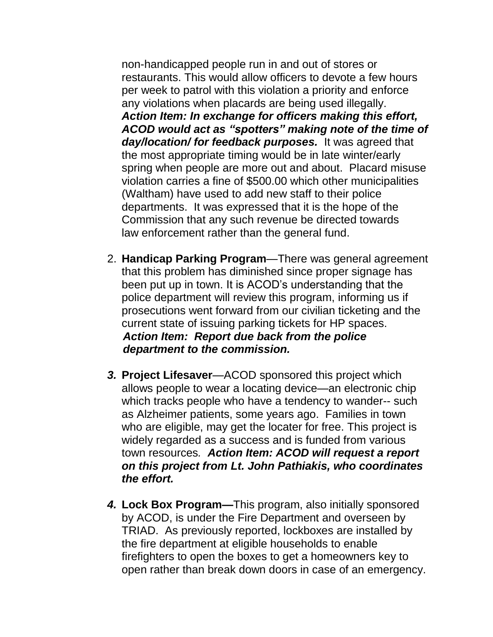non-handicapped people run in and out of stores or restaurants. This would allow officers to devote a few hours per week to patrol with this violation a priority and enforce any violations when placards are being used illegally. *Action Item: In exchange for officers making this effort, ACOD would act as "spotters" making note of the time of day/location/ for feedback purposes.*It was agreed that the most appropriate timing would be in late winter/early spring when people are more out and about. Placard misuse violation carries a fine of \$500.00 which other municipalities (Waltham) have used to add new staff to their police departments. It was expressed that it is the hope of the Commission that any such revenue be directed towards law enforcement rather than the general fund.

- 2. **Handicap Parking Program**—There was general agreement that this problem has diminished since proper signage has been put up in town. It is ACOD's understanding that the police department will review this program, informing us if prosecutions went forward from our civilian ticketing and the current state of issuing parking tickets for HP spaces.  *Action Item: Report due back from the police department to the commission.*
- *3.* **Project Lifesaver**—ACOD sponsored this project which allows people to wear a locating device—an electronic chip which tracks people who have a tendency to wander-- such as Alzheimer patients, some years ago. Families in town who are eligible, may get the locater for free. This project is widely regarded as a success and is funded from various town resources*. Action Item: ACOD will request a report on this project from Lt. John Pathiakis, who coordinates the effort.*
- *4.* **Lock Box Program—**This program, also initially sponsored by ACOD, is under the Fire Department and overseen by TRIAD. As previously reported, lockboxes are installed by the fire department at eligible households to enable firefighters to open the boxes to get a homeowners key to open rather than break down doors in case of an emergency.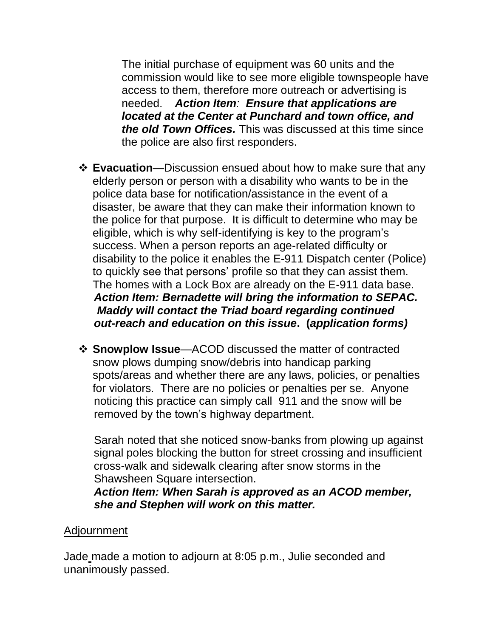The initial purchase of equipment was 60 units and the commission would like to see more eligible townspeople have access to them, therefore more outreach or advertising is needed. *Action Item: Ensure that applications are located at the Center at Punchard and town office, and the old Town Offices.* This was discussed at this time since the police are also first responders.

- **Evacuation**—Discussion ensued about how to make sure that any elderly person or person with a disability who wants to be in the police data base for notification/assistance in the event of a disaster, be aware that they can make their information known to the police for that purpose. It is difficult to determine who may be eligible, which is why self-identifying is key to the program's success. When a person reports an age-related difficulty or disability to the police it enables the E-911 Dispatch center (Police) to quickly see that persons' profile so that they can assist them. The homes with a Lock Box are already on the E-911 data base. *Action Item: Bernadette will bring the information to SEPAC. Maddy will contact the Triad board regarding continued out-reach and education on this issue***. (***application forms)*
- **Snowplow Issue**—ACOD discussed the matter of contracted snow plows dumping snow/debris into handicap parking spots/areas and whether there are any laws, policies, or penalties for violators. There are no policies or penalties per se. Anyone noticing this practice can simply call 911 and the snow will be removed by the town's highway department.

 Sarah noted that she noticed snow-banks from plowing up against signal poles blocking the button for street crossing and insufficient cross-walk and sidewalk clearing after snow storms in the Shawsheen Square intersection.

 *Action Item: When Sarah is approved as an ACOD member, she and Stephen will work on this matter.*

## Adjournment

Jade made a motion to adjourn at 8:05 p.m., Julie seconded and unanimously passed.